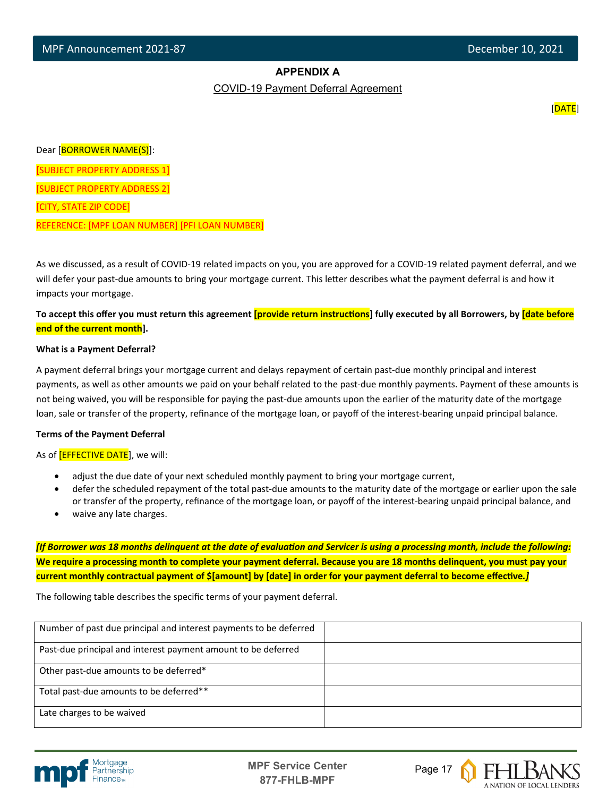## **APPENDIX A**

COVID-19 Payment Deferral Agreement

en de la construction de la construction de la construction de la construction de la construction de la construction de la construction de la construction de la construction de la construction de la construction de la cons

Dear [BORROWER NAME(S)]:

[SUBJECT PROPERTY ADDRESS 1]

[SUBJECT PROPERTY ADDRESS 2]

[CITY, STATE ZIP CODE]

 $\overline{a}$ 

REFERENCE: [MPF LOAN NUMBER] [PFI LOAN NUMBER]

As we discussed, as a result of COVID-19 related impacts on you, you are approved for a COVID-19 related payment deferral, and we will defer your past-due amounts to bring your mortgage current. This letter describes what the payment deferral is and how it impacts your mortgage.

To accept this offer you must return this agreement *[provide return instructions*] fully executed by all Borrowers, by *[date before* **end of the current month].** 

## **What is a Payment Deferral?**

A payment deferral brings your mortgage current and delays repayment of certain past-due monthly principal and interest payments, as well as other amounts we paid on your behalf related to the past-due monthly payments. Payment of these amounts is not being waived, you will be responsible for paying the past-due amounts upon the earlier of the maturity date of the mortgage loan, sale or transfer of the property, refinance of the mortgage loan, or payoff of the interest-bearing unpaid principal balance.

## **Terms of the Payment Deferral**

As of **[EFFECTIVE DATE**], we will:

- adjust the due date of your next scheduled monthly payment to bring your mortgage current,
- defer the scheduled repayment of the total past-due amounts to the maturity date of the mortgage or earlier upon the sale or transfer of the property, refinance of the mortgage loan, or payoff of the interest-bearing unpaid principal balance, and
- waive any late charges.

*[If Borrower was 18 months delinquent at the date of evaluaƟon and Servicer is using a processing month, include the following:* **We require a processing month to complete your payment deferral. Because you are 18 months delinquent, you must pay your current monthly contractual payment of \$[amount] by [date] in order for your payment deferral to become effecƟve***.]*

The following table describes the specific terms of your payment deferral.

| Number of past due principal and interest payments to be deferred |  |
|-------------------------------------------------------------------|--|
| Past-due principal and interest payment amount to be deferred     |  |
| Other past-due amounts to be deferred*                            |  |
| Total past-due amounts to be deferred**                           |  |
| Late charges to be waived                                         |  |